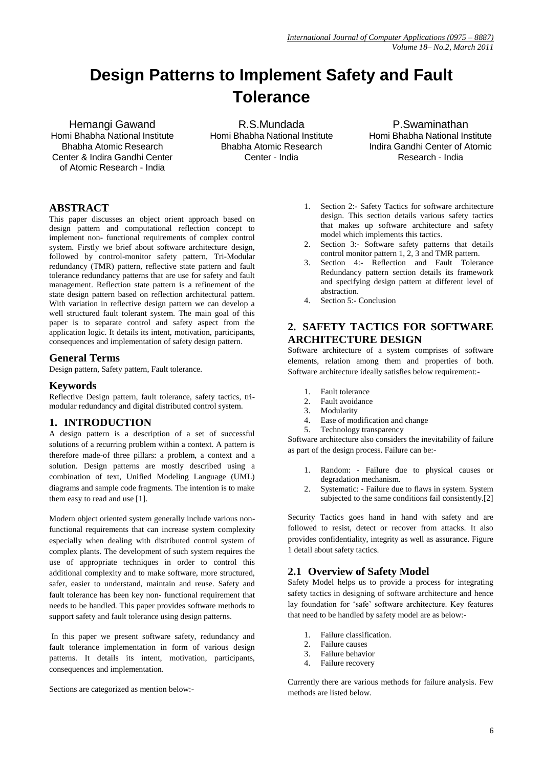# **Design Patterns to Implement Safety and Fault Tolerance**

Hemangi Gawand Homi Bhabha National Institute Bhabha Atomic Research Center & Indira Gandhi Center of Atomic Research - India

R.S.Mundada Homi Bhabha National Institute Bhabha Atomic Research Center - India

P.Swaminathan Homi Bhabha National Institute Indira Gandhi Center of Atomic Research - India

# **ABSTRACT**

This paper discusses an object orient approach based on design pattern and computational reflection concept to implement non- functional requirements of complex control system. Firstly we brief about software architecture design, followed by control-monitor safety pattern, Tri-Modular redundancy (TMR) pattern, reflective state pattern and fault tolerance redundancy patterns that are use for safety and fault management. Reflection state pattern is a refinement of the state design pattern based on reflection architectural pattern. With variation in reflective design pattern we can develop a well structured fault tolerant system. The main goal of this paper is to separate control and safety aspect from the application logic. It details its intent, motivation, participants, consequences and implementation of safety design pattern.

# **General Terms**

Design pattern, Safety pattern, Fault tolerance.

#### **Keywords**

Reflective Design pattern, fault tolerance, safety tactics, trimodular redundancy and digital distributed control system.

# **1. INTRODUCTION**

A design pattern is a description of a set of successful solutions of a recurring problem within a context. A pattern is therefore made-of three pillars: a problem, a context and a solution. Design patterns are mostly described using a combination of text, Unified Modeling Language (UML) diagrams and sample code fragments. The intention is to make them easy to read and use [1].

Modern object oriented system generally include various nonfunctional requirements that can increase system complexity especially when dealing with distributed control system of complex plants. The development of such system requires the use of appropriate techniques in order to control this additional complexity and to make software, more structured, safer, easier to understand, maintain and reuse. Safety and fault tolerance has been key non- functional requirement that needs to be handled. This paper provides software methods to support safety and fault tolerance using design patterns.

In this paper we present software safety, redundancy and fault tolerance implementation in form of various design patterns. It details its intent, motivation, participants, consequences and implementation.

Sections are categorized as mention below:-

- 1. Section 2:- Safety Tactics for software architecture design. This section details various safety tactics that makes up software architecture and safety model which implements this tactics.
- 2. Section 3:- Software safety patterns that details control monitor pattern 1, 2, 3 and TMR pattern.
- 3. Section 4:- Reflection and Fault Tolerance Redundancy pattern section details its framework and specifying design pattern at different level of abstraction.
- 4. Section 5:- Conclusion

# **2. SAFETY TACTICS FOR SOFTWARE ARCHITECTURE DESIGN**

Software architecture of a system comprises of software elements, relation among them and properties of both. Software architecture ideally satisfies below requirement:-

- 1. Fault tolerance
- 2. Fault avoidance
- 
- 3. Modularity<br>4. Ease of mo Ease of modification and change
- 5. Technology transparency

Software architecture also considers the inevitability of failure as part of the design process. Failure can be:-

- 1. Random: Failure due to physical causes or degradation mechanism.
- 2. Systematic: Failure due to flaws in system. System subjected to the same conditions fail consistently.[2]

Security Tactics goes hand in hand with safety and are followed to resist, detect or recover from attacks. It also provides confidentiality, integrity as well as assurance. Figure 1 detail about safety tactics.

# **2.1 Overview of Safety Model**

Safety Model helps us to provide a process for integrating safety tactics in designing of software architecture and hence lay foundation for 'safe' software architecture. Key features that need to be handled by safety model are as below:-

- 1. Failure classification.
- 2. Failure causes
- 3. Failure behavior
- 4. Failure recovery

Currently there are various methods for failure analysis. Few methods are listed below.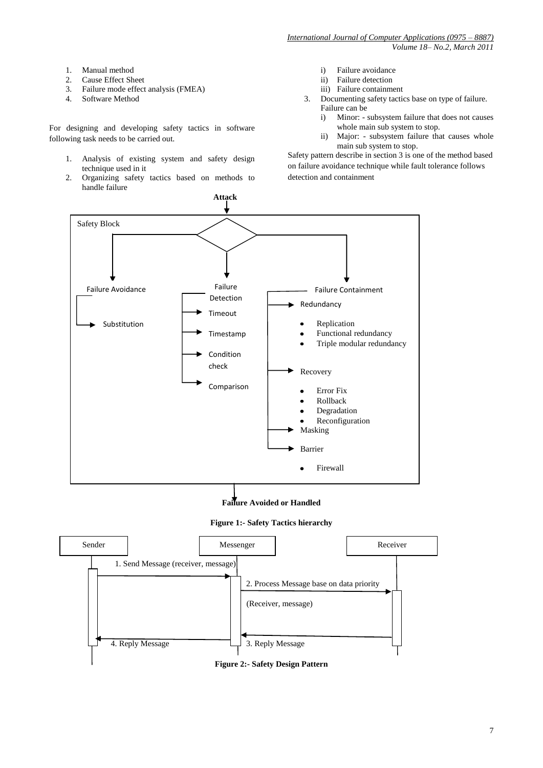*International Journal of Computer Applications (0975 – 8887) Volume 18– No.2, March 2011*

- 1. Manual method
- 2. Cause Effect Sheet
- 3. Failure mode effect analysis (FMEA)
- 4. Software Method

For designing and developing safety tactics in software following task needs to be carried out.

- 1. Analysis of existing system and safety design technique used in it
- 2. Organizing safety tactics based on methods to handle failure
- i) Failure avoidance
- ii) Failure detection
- iii) Failure containment
- 3. Documenting safety tactics base on type of failure. Failure can be
	- i) Minor: subsystem failure that does not causes whole main sub system to stop.
	- ii) Major: subsystem failure that causes whole main sub system to stop.

Safety pattern describe in section 3 is one of the method based on failure avoidance technique while fault tolerance follows detection and containment

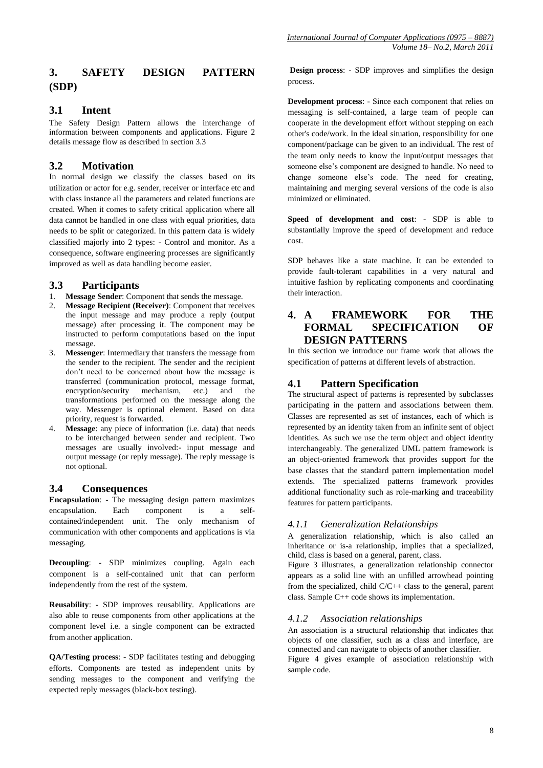# **3. SAFETY DESIGN PATTERN (SDP)**

# **3.1 Intent**

The Safety Design Pattern allows the interchange of information between components and applications. Figure 2 details message flow as described in section 3.3

# **3.2 Motivation**

In normal design we classify the classes based on its utilization or actor for e.g. sender, receiver or interface etc and with class instance all the parameters and related functions are created. When it comes to safety critical application where all data cannot be handled in one class with equal priorities, data needs to be split or categorized. In this pattern data is widely classified majorly into 2 types: - Control and monitor. As a consequence, software engineering processes are significantly improved as well as data handling become easier.

# **3.3 Participants**

- 1. **Message Sender**: Component that sends the message.
- 2. **Message Recipient (Receiver)**: Component that receives the input message and may produce a reply (output message) after processing it. The component may be instructed to perform computations based on the input message.
- Messenger: Intermediary that transfers the message from the sender to the recipient. The sender and the recipient don"t need to be concerned about how the message is transferred (communication protocol, message format, encryption/security mechanism, etc.) and the transformations performed on the message along the way. Messenger is optional element. Based on data priority, request is forwarded.
- 4. **Message**: any piece of information (i.e. data) that needs to be interchanged between sender and recipient. Two messages are usually involved:- input message and output message (or reply message). The reply message is not optional.

# **3.4 Consequences**

**Encapsulation**: - The messaging design pattern maximizes encapsulation. Each component is a selfcontained/independent unit. The only mechanism of communication with other components and applications is via messaging.

**Decoupling**: - SDP minimizes coupling. Again each component is a self-contained unit that can perform independently from the rest of the system.

**Reusability**: - SDP improves reusability. Applications are also able to reuse components from other applications at the component level i.e. a single component can be extracted from another application.

**QA/Testing process**: - SDP facilitates testing and debugging efforts. Components are tested as independent units by sending messages to the component and verifying the expected reply messages (black-box testing).

**Design process**: - SDP improves and simplifies the design process.

**Development process**: - Since each component that relies on messaging is self-contained, a large team of people can cooperate in the development effort without stepping on each other's code/work. In the ideal situation, responsibility for one component/package can be given to an individual. The rest of the team only needs to know the input/output messages that someone else's component are designed to handle. No need to change someone else"s code. The need for creating, maintaining and merging several versions of the code is also minimized or eliminated.

**Speed of development and cost**: - SDP is able to substantially improve the speed of development and reduce cost.

SDP behaves like a state machine. It can be extended to provide fault-tolerant capabilities in a very natural and intuitive fashion by replicating components and coordinating their interaction.

# **4. A FRAMEWORK FOR THE FORMAL SPECIFICATION OF DESIGN PATTERNS**

In this section we introduce our frame work that allows the specification of patterns at different levels of abstraction.

# **4.1 Pattern Specification**

The structural aspect of patterns is represented by subclasses participating in the pattern and associations between them. Classes are represented as set of instances, each of which is represented by an identity taken from an infinite sent of object identities. As such we use the term object and object identity interchangeably. The generalized UML pattern framework is an object-oriented framework that provides support for the base classes that the standard pattern implementation model extends. The specialized patterns framework provides additional functionality such as role-marking and traceability features for pattern participants.

# *4.1.1 Generalization Relationships*

A generalization relationship, which is also called an inheritance or is-a relationship, implies that a specialized, child, class is based on a general, parent, class.

Figure 3 illustrates, a generalization relationship connector appears as a solid line with an unfilled arrowhead pointing from the specialized, child C/C++ class to the general, parent class. Sample C++ code shows its implementation.

## *4.1.2 Association relationships*

An association is a structural relationship that indicates that objects of one classifier, such as a class and interface, are connected and can navigate to objects of another classifier. Figure 4 gives example of association relationship with sample code.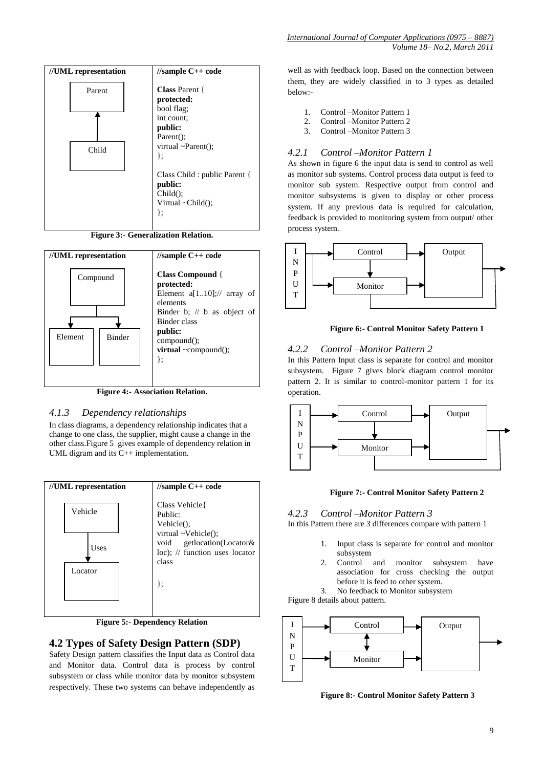

**Figure 3:- Generalization Relation.**



**Figure 4:- Association Relation.**

#### *4.1.3 Dependency relationships*

In class diagrams, a dependency relationship indicates that a change to one class, the supplier, might cause a change in the other class.Figure 5 gives example of dependency relation in UML digram and its C++ implementation.



**Figure 5:- Dependency Relation**

## **4.2 Types of Safety Design Pattern (SDP)**

Safety Design pattern classifies the Input data as Control data and Monitor data. Control data is process by control subsystem or class while monitor data by monitor subsystem respectively. These two systems can behave independently as

well as with feedback loop. Based on the connection between them, they are widely classified in to 3 types as detailed below:-

- 1. Control –Monitor Pattern 1
- 2. Control –Monitor Pattern 2
- 3. Control –Monitor Pattern 3

#### *4.2.1 Control –Monitor Pattern 1*

As shown in figure 6 the input data is send to control as well as monitor sub systems. Control process data output is feed to monitor sub system. Respective output from control and monitor subsystems is given to display or other process system. If any previous data is required for calculation, feedback is provided to monitoring system from output/ other process system.



**Figure 6:- Control Monitor Safety Pattern 1**

#### *4.2.2 Control –Monitor Pattern 2*

In this Pattern Input class is separate for control and monitor subsystem. Figure 7 gives block diagram control monitor pattern 2. It is similar to control-monitor pattern 1 for its operation.



**Figure 7:- Control Monitor Safety Pattern 2**

*4.2.3 Control –Monitor Pattern 3*

In this Pattern there are 3 differences compare with pattern 1

- 1. Input class is separate for control and monitor subsystem
- 2. Control and monitor subsystem have association for cross checking the output before it is feed to other system.

3. No feedback to Monitor subsystem

Figure 8 details about pattern.



**Figure 8:- Control Monitor Safety Pattern 3**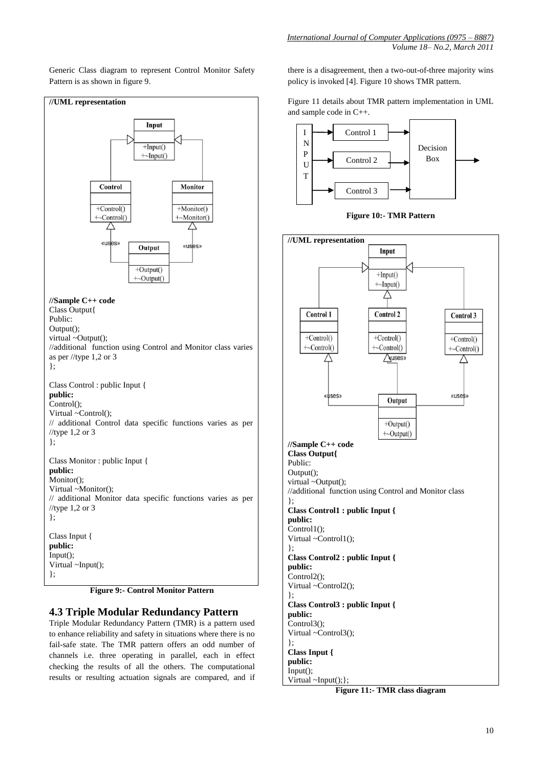Generic Class diagram to represent Control Monitor Safety Pattern is as shown in figure 9.



**Figure 9:- Control Monitor Pattern**

# **4.3 Triple Modular Redundancy Pattern**

Triple Modular Redundancy Pattern (TMR) is a pattern used to enhance reliability and safety in situations where there is no fail-safe state. The TMR pattern offers an odd number of channels i.e. three operating in parallel, each in effect checking the results of all the others. The computational results or resulting actuation signals are compared, and if there is a disagreement, then a two-out-of-three majority wins policy is invoked [4]. Figure 10 shows TMR pattern.

Figure 11 details about TMR pattern implementation in UML and sample code in C++.



**Figure 10:- TMR Pattern**



**Figure 11:- TMR class diagram**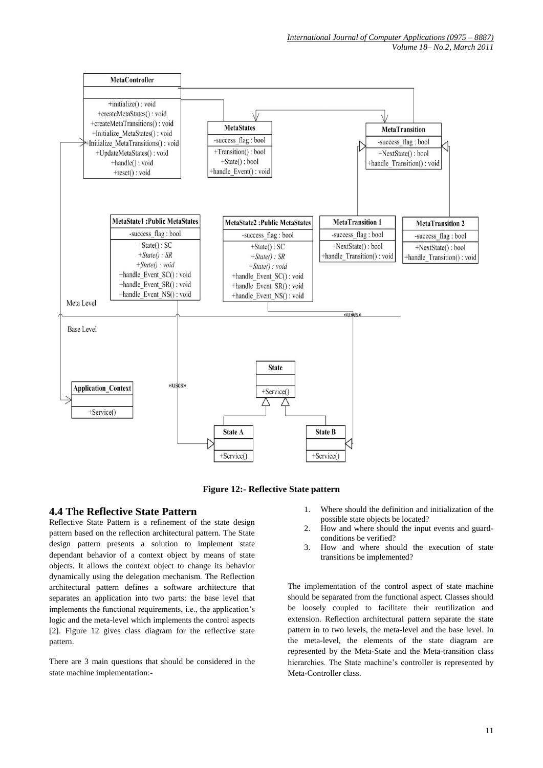



## **4.4 The Reflective State Pattern**

Reflective State Pattern is a refinement of the state design pattern based on the reflection architectural pattern. The State design pattern presents a solution to implement state dependant behavior of a context object by means of state objects. It allows the context object to change its behavior dynamically using the delegation mechanism. The Reflection architectural pattern defines a software architecture that separates an application into two parts: the base level that implements the functional requirements, i.e., the application"s logic and the meta-level which implements the control aspects [2]. Figure 12 gives class diagram for the reflective state pattern.

There are 3 main questions that should be considered in the state machine implementation:-

- 1. Where should the definition and initialization of the possible state objects be located?
- 2. How and where should the input events and guardconditions be verified?
- 3. How and where should the execution of state transitions be implemented?

The implementation of the control aspect of state machine should be separated from the functional aspect. Classes should be loosely coupled to facilitate their reutilization and extension. Reflection architectural pattern separate the state pattern in to two levels, the meta-level and the base level. In the meta-level, the elements of the state diagram are represented by the Meta-State and the Meta-transition class hierarchies. The State machine's controller is represented by Meta-Controller class.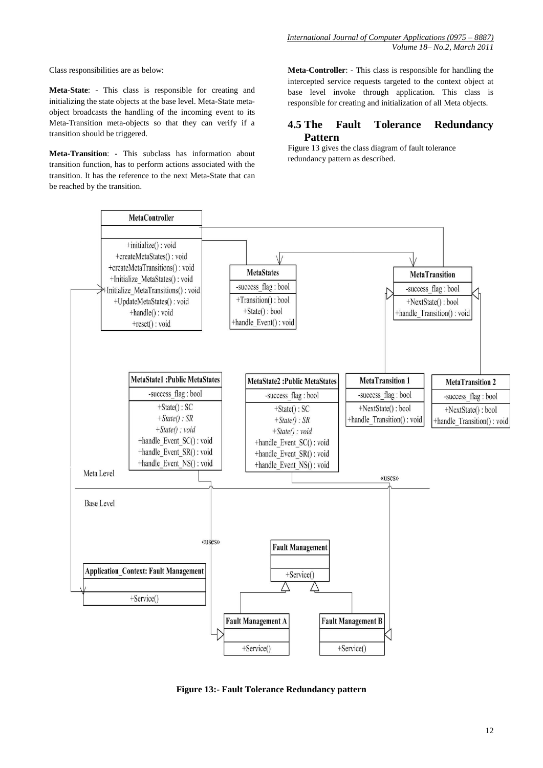Class responsibilities are as below:

**Meta-State**: - This class is responsible for creating and initializing the state objects at the base level. Meta-State metaobject broadcasts the handling of the incoming event to its Meta-Transition meta-objects so that they can verify if a transition should be triggered.

**Meta-Transition**: - This subclass has information about transition function, has to perform actions associated with the transition. It has the reference to the next Meta-State that can be reached by the transition.

**Meta-Controller**: - This class is responsible for handling the intercepted service requests targeted to the context object at base level invoke through application. This class is responsible for creating and initialization of all Meta objects.

## **4.5 The Fault Tolerance Redundancy Pattern**

Figure 13 gives the class diagram of fault tolerance redundancy pattern as described.



**Figure 13:- Fault Tolerance Redundancy pattern**